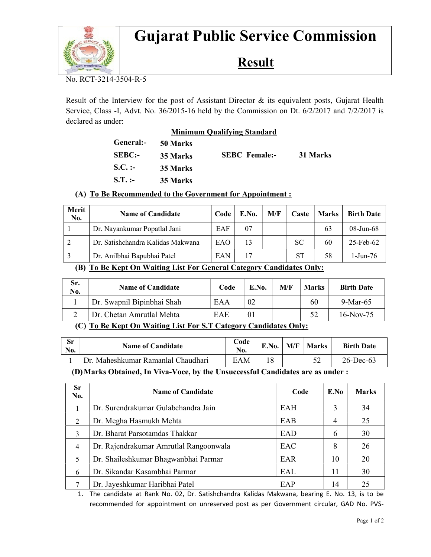

# Gujarat Public Service Commission

## Result

No. RCT-3214-3504-R-5

Result of the Interview for the post of Assistant Director & its equivalent posts, Gujarat Health Service, Class -I, Advt. No. 36/2015-16 held by the Commission on Dt. 6/2/2017 and 7/2/2017 is declared as under:

|               | <b>Minimum Qualifying Standard</b> |                      |          |  |  |  |  |
|---------------|------------------------------------|----------------------|----------|--|--|--|--|
| General:-     | 50 Marks                           |                      |          |  |  |  |  |
| <b>SEBC:-</b> | 35 Marks                           | <b>SEBC</b> Female:- | 31 Marks |  |  |  |  |
| $S.C.$ :-     | 35 Marks                           |                      |          |  |  |  |  |
| $S.T.$ :-     | 35 Marks                           |                      |          |  |  |  |  |

### (A) To Be Recommended to the Government for Appointment :

| Merit<br>No. | <b>Name of Candidate</b>          | Code | E.No. | M/F | Caste     | <b>Marks</b> | <b>Birth Date</b> |
|--------------|-----------------------------------|------|-------|-----|-----------|--------------|-------------------|
|              | Dr. Nayankumar Popatlal Jani      | EAF  | -07   |     |           | 63           | $08 - Jun - 68$   |
| 2            | Dr. Satishchandra Kalidas Makwana | EAO  | 13    |     | <b>SC</b> | 60           | $25$ -Feb-62      |
| 3            | Dr. Anilbhai Bapubhai Patel       | EAN  | 17    |     | SТ        | 58           | 1-Jun-76          |

#### (B) To Be Kept On Waiting List For General Category Candidates Only:

| Sr.<br>No.                                                                         | <b>Name of Candidate</b>   | Code | E.No. | M/F | <b>Marks</b> | <b>Birth Date</b> |
|------------------------------------------------------------------------------------|----------------------------|------|-------|-----|--------------|-------------------|
|                                                                                    | Dr. Swapnil Bipinbhai Shah | EAA  | 02    |     | 60           | $9-Mar-65$        |
|                                                                                    | Dr. Chetan Amrutlal Mehta  | EAE  |       |     | 52           | $16-Nov-75$       |
| _____<br><b>Contract Contract Contract Contract</b><br>____<br>-----<br>---<br>___ |                            |      |       |     |              |                   |

### (C) To Be Kept On Waiting List For S.T Category Candidates Only:

| Sr<br>No.                                                                                                                                            | <b>Name of Candidate</b>           | Code<br>No. | E.No. | M/F | <b>Marks</b> | <b>Birth Date</b> |
|------------------------------------------------------------------------------------------------------------------------------------------------------|------------------------------------|-------------|-------|-----|--------------|-------------------|
|                                                                                                                                                      | Dr. Maheshkumar Ramanlal Chaudhari | EAM         |       |     |              | $26$ -Dec-63      |
| $\mathbf{M}$ is $\mathbf{M}$ in $\mathbf{M}$ in $\mathbf{M}$ in $\mathbf{M}$ in the same of $\mathbf{M}$ in $\mathbf{M}$ is the same of $\mathbf{M}$ |                                    |             |       |     |              |                   |

(D)Marks Obtained, In Viva-Voce, by the Unsuccessful Candidates are as under :

| <b>Sr</b><br>No. | <b>Name of Candidate</b>               | Code | E.No | <b>Marks</b> |
|------------------|----------------------------------------|------|------|--------------|
|                  | Dr. Surendrakumar Gulabchandra Jain    | EAH  |      | 34           |
| $\overline{2}$   | Dr. Megha Hasmukh Mehta                | EAB  | 4    | 25           |
| 3                | Dr. Bharat Parsotamdas Thakkar         | EAD  | 6    | 30           |
| $\overline{4}$   | Dr. Rajendrakumar Amrutlal Rangoonwala | EAC  | 8    | 26           |
| 5                | Dr. Shaileshkumar Bhagwanbhai Parmar   | EAR  | 10   | 20           |
| 6                | Dr. Sikandar Kasambhai Parmar          | EAL  | 11   | 30           |
|                  | Dr. Jayeshkumar Haribhai Patel         | EAP  | 14   | 25           |

1. The candidate at Rank No. 02, Dr. Satishchandra Kalidas Makwana, bearing E. No. 13, is to be recommended for appointment on unreserved post as per Government circular, GAD No. PVS-